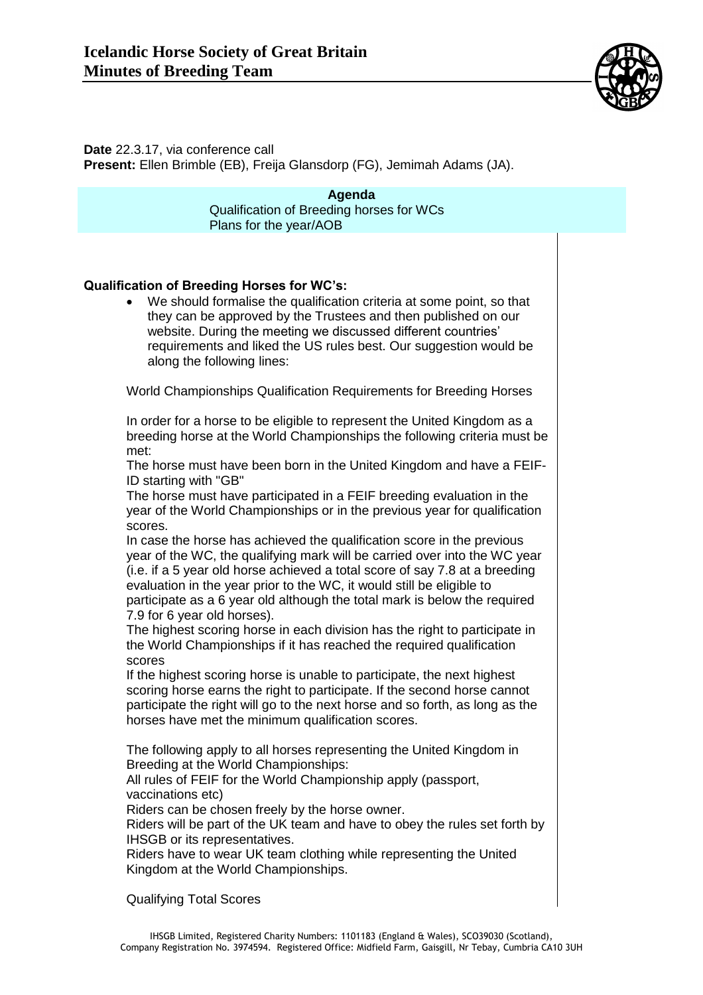

**Date** 22.3.17, via conference call

**Present:** Ellen Brimble (EB), Freija Glansdorp (FG), Jemimah Adams (JA).

**Agenda** Qualification of Breeding horses for WCs Plans for the year/AOB

## **Qualification of Breeding Horses for WC's:**

 We should formalise the qualification criteria at some point, so that they can be approved by the Trustees and then published on our website. During the meeting we discussed different countries' requirements and liked the US rules best. Our suggestion would be along the following lines:

World Championships Qualification Requirements for Breeding Horses

In order for a horse to be eligible to represent the United Kingdom as a breeding horse at the World Championships the following criteria must be met:

The horse must have been born in the United Kingdom and have a FEIF-ID starting with "GB"

The horse must have participated in a FEIF breeding evaluation in the year of the World Championships or in the previous year for qualification scores.

In case the horse has achieved the qualification score in the previous year of the WC, the qualifying mark will be carried over into the WC year (i.e. if a 5 year old horse achieved a total score of say 7.8 at a breeding evaluation in the year prior to the WC, it would still be eligible to participate as a 6 year old although the total mark is below the required 7.9 for 6 year old horses).

The highest scoring horse in each division has the right to participate in the World Championships if it has reached the required qualification scores

If the highest scoring horse is unable to participate, the next highest scoring horse earns the right to participate. If the second horse cannot participate the right will go to the next horse and so forth, as long as the horses have met the minimum qualification scores.

The following apply to all horses representing the United Kingdom in Breeding at the World Championships:

All rules of FEIF for the World Championship apply (passport, vaccinations etc)

Riders can be chosen freely by the horse owner.

Riders will be part of the UK team and have to obey the rules set forth by IHSGB or its representatives.

Riders have to wear UK team clothing while representing the United Kingdom at the World Championships.

Qualifying Total Scores